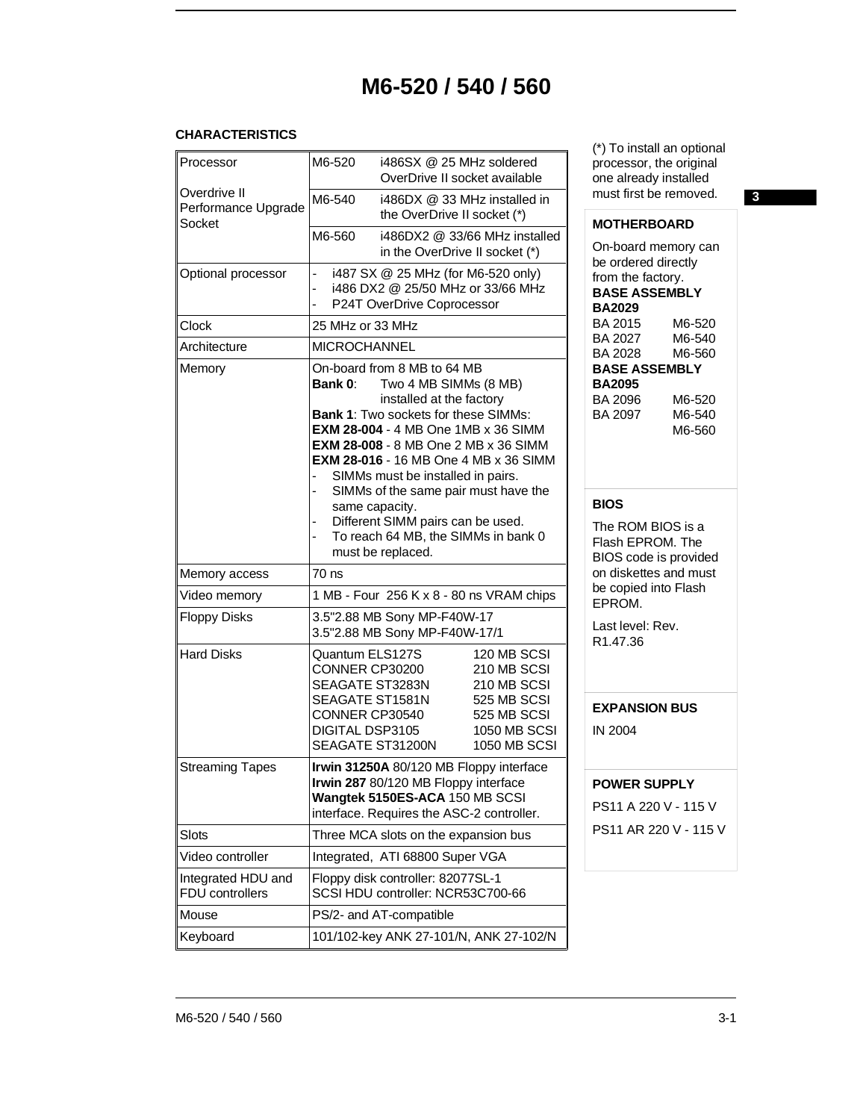# **M6-520 / 540 / 560**

#### **CHARACTERISTICS**

| Processor                                     | M6-520                                                                                                                           | i486SX @ 25 MHz soldered<br>OverDrive II socket available                                                                                                                                                                                                                                                                                                                                                                                                  |                                                                                                                       |
|-----------------------------------------------|----------------------------------------------------------------------------------------------------------------------------------|------------------------------------------------------------------------------------------------------------------------------------------------------------------------------------------------------------------------------------------------------------------------------------------------------------------------------------------------------------------------------------------------------------------------------------------------------------|-----------------------------------------------------------------------------------------------------------------------|
| Overdrive II<br>Performance Upgrade<br>Socket | M6-540                                                                                                                           | i486DX @ 33 MHz installed in<br>the OverDrive II socket (*)                                                                                                                                                                                                                                                                                                                                                                                                |                                                                                                                       |
|                                               | M6-560                                                                                                                           | in the OverDrive II socket (*)                                                                                                                                                                                                                                                                                                                                                                                                                             | i486DX2 @ 33/66 MHz installed                                                                                         |
| Optional processor                            | L,<br>$\overline{a}$<br>$\overline{\phantom{a}}$                                                                                 | i487 SX @ 25 MHz (for M6-520 only)<br>i486 DX2 @ 25/50 MHz or 33/66 MHz<br>P24T OverDrive Coprocessor                                                                                                                                                                                                                                                                                                                                                      |                                                                                                                       |
| <b>Clock</b>                                  | 25 MHz or 33 MHz                                                                                                                 |                                                                                                                                                                                                                                                                                                                                                                                                                                                            |                                                                                                                       |
| Architecture                                  | <b>MICROCHANNEL</b>                                                                                                              |                                                                                                                                                                                                                                                                                                                                                                                                                                                            |                                                                                                                       |
| Memory                                        | Bank 0:<br>$\overline{\phantom{0}}$<br>same capacity.                                                                            | On-board from 8 MB to 64 MB<br>Two 4 MB SIMMs (8 MB)<br>installed at the factory<br><b>Bank 1: Two sockets for these SIMMs:</b><br><b>EXM 28-004 - 4 MB One 1MB x 36 SIMM</b><br><b>EXM 28-008 - 8 MB One 2 MB x 36 SIMM</b><br><b>EXM 28-016 - 16 MB One 4 MB x 36 SIMM</b><br>SIMMs must be installed in pairs.<br>SIMMs of the same pair must have the<br>Different SIMM pairs can be used.<br>To reach 64 MB, the SIMMs in bank 0<br>must be replaced. |                                                                                                                       |
| Memory access                                 | 70 ns                                                                                                                            |                                                                                                                                                                                                                                                                                                                                                                                                                                                            |                                                                                                                       |
| Video memory                                  |                                                                                                                                  | 1 MB - Four 256 K x 8 - 80 ns VRAM chips                                                                                                                                                                                                                                                                                                                                                                                                                   |                                                                                                                       |
| <b>Floppy Disks</b>                           |                                                                                                                                  | 3.5"2.88 MB Sony MP-F40W-17<br>3.5"2.88 MB Sony MP-F40W-17/1                                                                                                                                                                                                                                                                                                                                                                                               |                                                                                                                       |
| <b>Hard Disks</b>                             | Quantum ELS127S<br>CONNER CP30200<br>SEAGATE ST3283N<br>SEAGATE ST1581N<br>CONNER CP30540<br>DIGITAL DSP3105<br>SEAGATE ST31200N |                                                                                                                                                                                                                                                                                                                                                                                                                                                            | 120 MB SCSI<br>210 MB SCSI<br>210 MB SCSI<br>525 MB SCSI<br>525 MB SCSI<br><b>1050 MB SCSI</b><br><b>1050 MB SCSI</b> |
| <b>Streaming Tapes</b>                        |                                                                                                                                  | Irwin 31250A 80/120 MB Floppy interface<br>Irwin 287 80/120 MB Floppy interface<br>Wangtek 5150ES-ACA 150 MB SCSI<br>interface. Requires the ASC-2 controller.                                                                                                                                                                                                                                                                                             |                                                                                                                       |
| Slots                                         |                                                                                                                                  | Three MCA slots on the expansion bus                                                                                                                                                                                                                                                                                                                                                                                                                       |                                                                                                                       |
| Video controller                              |                                                                                                                                  | Integrated, ATI 68800 Super VGA                                                                                                                                                                                                                                                                                                                                                                                                                            |                                                                                                                       |
| Integrated HDU and<br>FDU controllers         |                                                                                                                                  | Floppy disk controller: 82077SL-1<br>SCSI HDU controller: NCR53C700-66                                                                                                                                                                                                                                                                                                                                                                                     |                                                                                                                       |
| Mouse                                         |                                                                                                                                  | PS/2- and AT-compatible                                                                                                                                                                                                                                                                                                                                                                                                                                    |                                                                                                                       |
| Keyboard                                      |                                                                                                                                  | 101/102-key ANK 27-101/N, ANK 27-102/N                                                                                                                                                                                                                                                                                                                                                                                                                     |                                                                                                                       |

(\*) To install an optional processor, the original one already installed must first be removed. **3**

## **MOTHERBOARD**

On-board memory can be ordered directly from the factory. **BASE ASSEMBLY BA2029** BA 2015 M6-520 BA 2027 M6-540 BA 2028 M6-560 **BASE ASSEMBLY BA2095** BA 2096 M6-520 BA 2097 M6-560

## **BIOS**

The ROM BIOS is a Flash EPROM. The BIOS code is provided on diskettes and must be copied into Flash EPROM.

Last level: Rev. R1.47.36

# **EXPANSION BUS**

IN 2004

#### **POWER SUPPLY**

PS11 A 220 V - 115 V PS11 AR 220 V - 115 V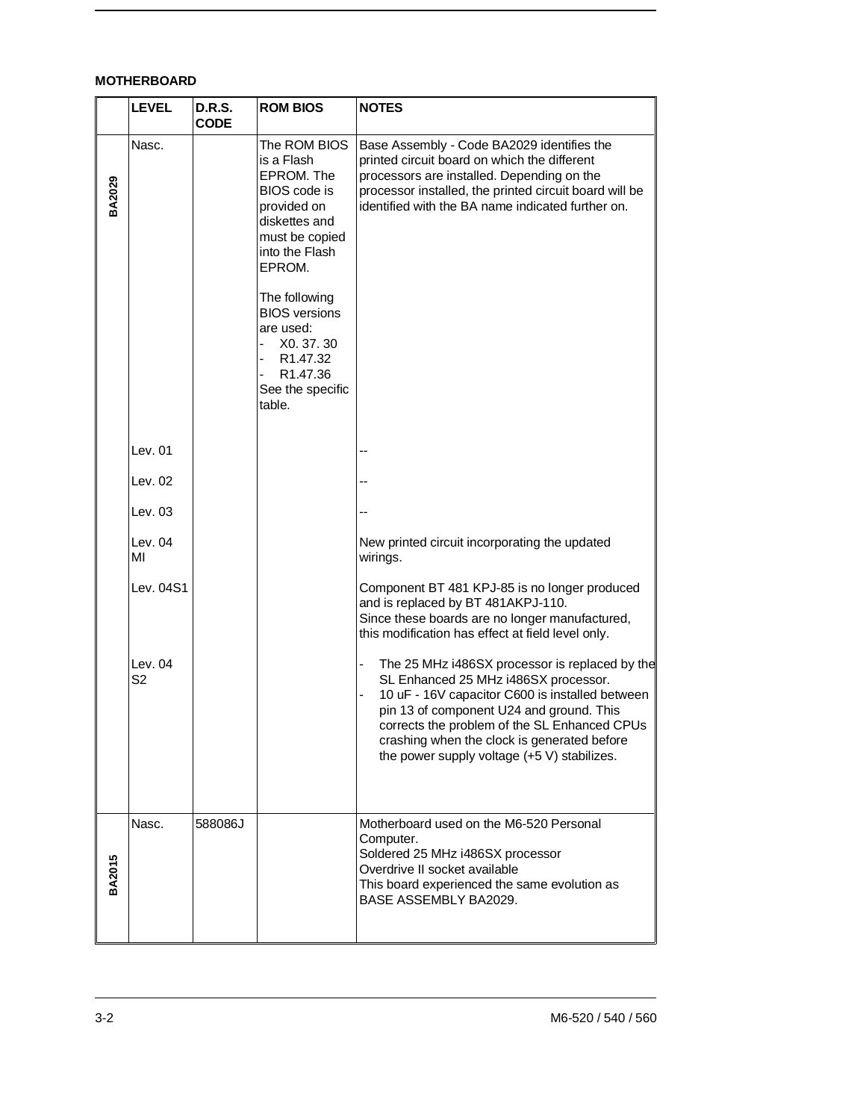# **MOTHERBOARD**

|        | <b>LEVEL</b>    | <b>D.R.S.</b><br><b>CODE</b> | <b>ROM BIOS</b>                                                                                                                                                                                                                                                                 | <b>NOTES</b>                                                                                                                                                                                                                                                                                                                        |
|--------|-----------------|------------------------------|---------------------------------------------------------------------------------------------------------------------------------------------------------------------------------------------------------------------------------------------------------------------------------|-------------------------------------------------------------------------------------------------------------------------------------------------------------------------------------------------------------------------------------------------------------------------------------------------------------------------------------|
| BA2029 | Nasc.           |                              | The ROM BIOS<br>is a Flash<br>EPROM. The<br>BIOS code is<br>provided on<br>diskettes and<br>must be copied<br>into the Flash<br>EPROM.<br>The following<br><b>BIOS</b> versions<br>are used:<br>X0.37.30<br>R1.47.32<br>-<br>R <sub>1.47.36</sub><br>See the specific<br>table. | Base Assembly - Code BA2029 identifies the<br>printed circuit board on which the different<br>processors are installed. Depending on the<br>processor installed, the printed circuit board will be<br>identified with the BA name indicated further on.                                                                             |
|        | Lev. $01$       |                              |                                                                                                                                                                                                                                                                                 |                                                                                                                                                                                                                                                                                                                                     |
|        | Lev. $02$       |                              |                                                                                                                                                                                                                                                                                 |                                                                                                                                                                                                                                                                                                                                     |
|        | Lev. $03$       |                              |                                                                                                                                                                                                                                                                                 |                                                                                                                                                                                                                                                                                                                                     |
|        | Lev. $04$<br>МI |                              |                                                                                                                                                                                                                                                                                 | New printed circuit incorporating the updated<br>wirings.                                                                                                                                                                                                                                                                           |
|        | Lev. 04S1       |                              |                                                                                                                                                                                                                                                                                 | Component BT 481 KPJ-85 is no longer produced<br>and is replaced by BT 481AKPJ-110.<br>Since these boards are no longer manufactured,<br>this modification has effect at field level only.                                                                                                                                          |
|        | Lev. $04$<br>S2 |                              |                                                                                                                                                                                                                                                                                 | The 25 MHz i486SX processor is replaced by the<br>SL Enhanced 25 MHz i486SX processor.<br>10 uF - 16V capacitor C600 is installed between<br>pin 13 of component U24 and ground. This<br>corrects the problem of the SL Enhanced CPUs<br>crashing when the clock is generated before<br>the power supply voltage (+5 V) stabilizes. |
| BA2015 | Nasc.           | 588086J                      |                                                                                                                                                                                                                                                                                 | Motherboard used on the M6-520 Personal<br>Computer.<br>Soldered 25 MHz i486SX processor<br>Overdrive II socket available<br>This board experienced the same evolution as<br>BASE ASSEMBLY BA2029.                                                                                                                                  |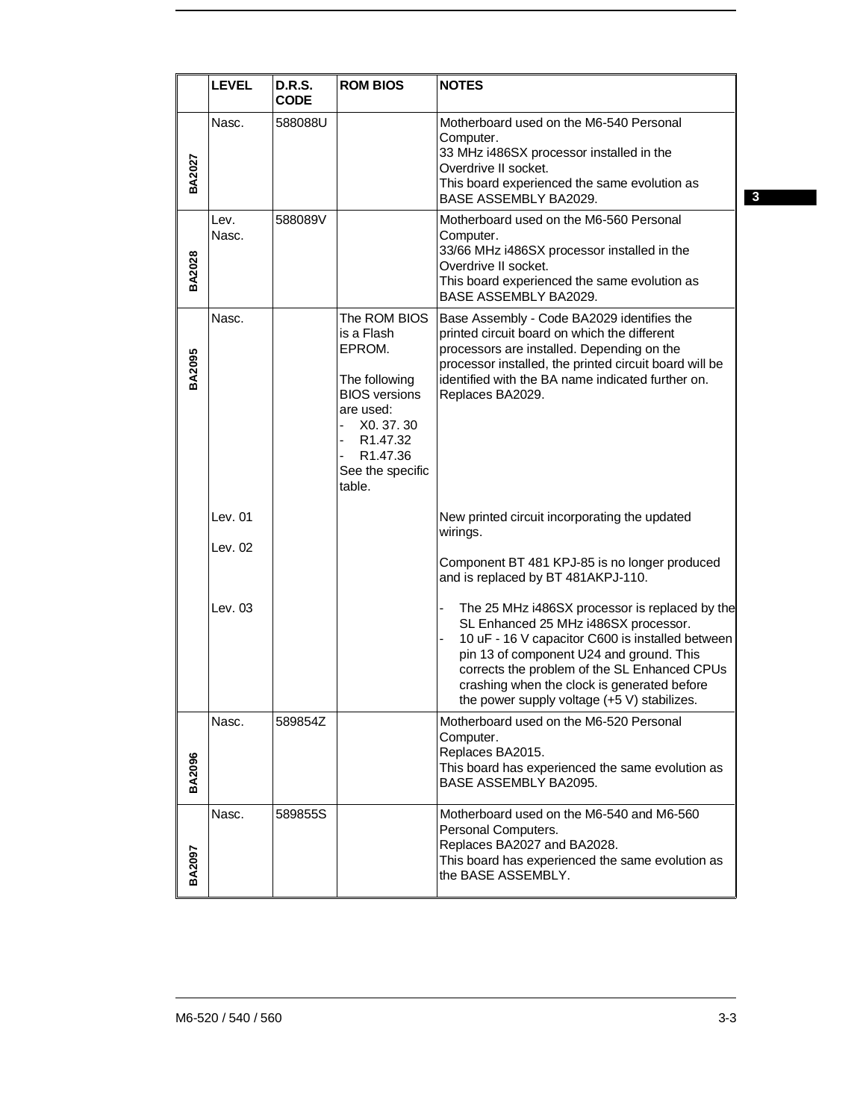|               | <b>LEVEL</b>       | <b>D.R.S.</b><br><b>CODE</b> | <b>ROM BIOS</b>                                                                                                                                                                      | <b>NOTES</b>                                                                                                                                                                                                                                                                                                                         |              |
|---------------|--------------------|------------------------------|--------------------------------------------------------------------------------------------------------------------------------------------------------------------------------------|--------------------------------------------------------------------------------------------------------------------------------------------------------------------------------------------------------------------------------------------------------------------------------------------------------------------------------------|--------------|
| BA2027        | Nasc.              | 588088U                      |                                                                                                                                                                                      | Motherboard used on the M6-540 Personal<br>Computer.<br>33 MHz i486SX processor installed in the<br>Overdrive II socket.<br>This board experienced the same evolution as<br>BASE ASSEMBLY BA2029.                                                                                                                                    | $\mathbf{3}$ |
| BA2028        | Lev.<br>Nasc.      | 588089V                      |                                                                                                                                                                                      | Motherboard used on the M6-560 Personal<br>Computer.<br>33/66 MHz i486SX processor installed in the<br>Overdrive II socket.<br>This board experienced the same evolution as<br>BASE ASSEMBLY BA2029.                                                                                                                                 |              |
| <b>BA2095</b> | Nasc.              |                              | The ROM BIOS<br>is a Flash<br>EPROM.<br>The following<br><b>BIOS</b> versions<br>are used:<br>X0.37.30<br>R <sub>1.47.32</sub><br>R <sub>1.47.36</sub><br>See the specific<br>table. | Base Assembly - Code BA2029 identifies the<br>printed circuit board on which the different<br>processors are installed. Depending on the<br>processor installed, the printed circuit board will be<br>identified with the BA name indicated further on.<br>Replaces BA2029.                                                          |              |
|               | Lev. 01<br>Lev. 02 |                              |                                                                                                                                                                                      | New printed circuit incorporating the updated<br>wirings.<br>Component BT 481 KPJ-85 is no longer produced<br>and is replaced by BT 481AKPJ-110.                                                                                                                                                                                     |              |
|               | Lev. 03            |                              |                                                                                                                                                                                      | The 25 MHz i486SX processor is replaced by the<br>SL Enhanced 25 MHz i486SX processor.<br>10 uF - 16 V capacitor C600 is installed between<br>pin 13 of component U24 and ground. This<br>corrects the problem of the SL Enhanced CPUs<br>crashing when the clock is generated before<br>the power supply voltage (+5 V) stabilizes. |              |
| <b>BA2096</b> | Nasc.              | 589854Z                      |                                                                                                                                                                                      | Motherboard used on the M6-520 Personal<br>Computer.<br>Replaces BA2015.<br>This board has experienced the same evolution as<br>BASE ASSEMBLY BA2095.                                                                                                                                                                                |              |
| BA2097        | Nasc.              | 589855S                      |                                                                                                                                                                                      | Motherboard used on the M6-540 and M6-560<br>Personal Computers.<br>Replaces BA2027 and BA2028.<br>This board has experienced the same evolution as<br>the BASE ASSEMBLY.                                                                                                                                                            |              |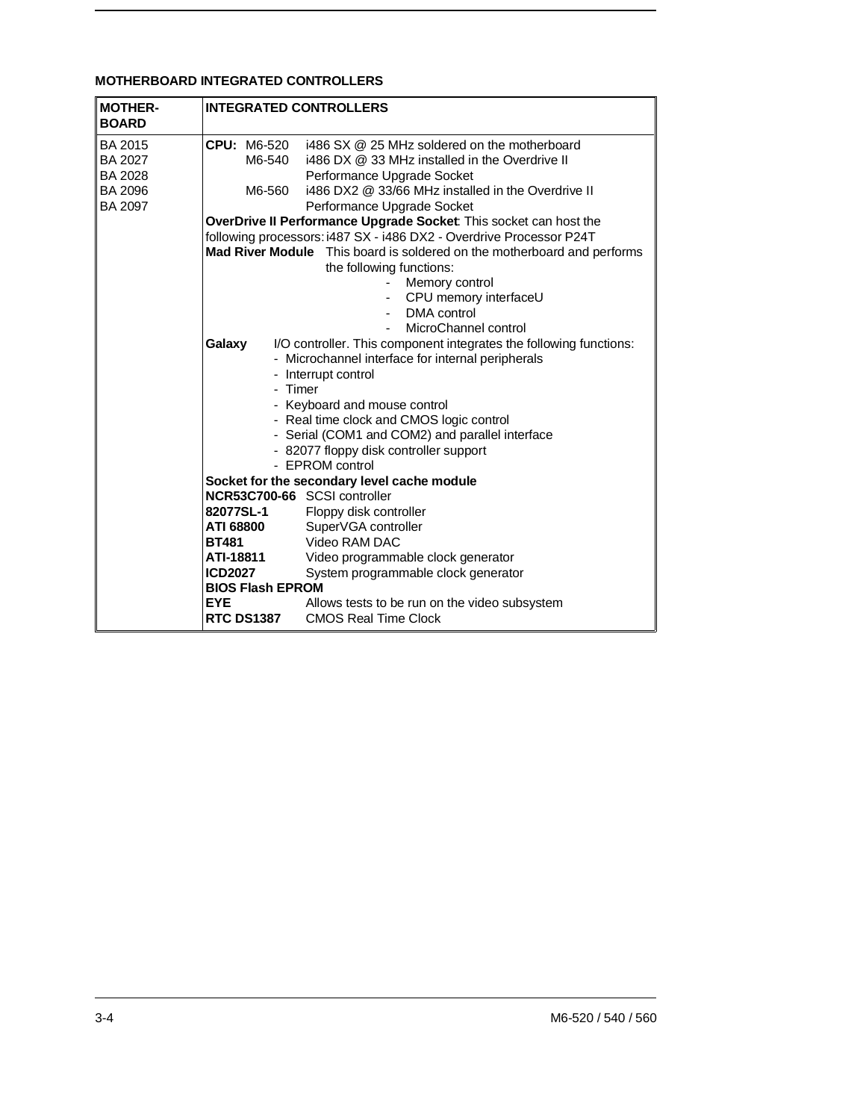# **MOTHERBOARD INTEGRATED CONTROLLERS**

| <b>MOTHER-</b><br><b>BOARD</b> | <b>INTEGRATED CONTROLLERS</b> |                                                                                                     |
|--------------------------------|-------------------------------|-----------------------------------------------------------------------------------------------------|
| <b>BA 2015</b>                 | <b>CPU: M6-520</b>            | i486 SX @ 25 MHz soldered on the motherboard                                                        |
| <b>BA 2027</b>                 | M6-540                        | i486 DX @ 33 MHz installed in the Overdrive II                                                      |
| <b>BA 2028</b>                 |                               | Performance Upgrade Socket                                                                          |
| <b>BA 2096</b>                 | M6-560                        | i486 DX2 @ 33/66 MHz installed in the Overdrive II                                                  |
| <b>BA 2097</b>                 |                               | Performance Upgrade Socket                                                                          |
|                                |                               | OverDrive II Performance Upgrade Socket: This socket can host the                                   |
|                                |                               | following processors: i487 SX - i486 DX2 - Overdrive Processor P24T                                 |
|                                |                               | Mad River Module This board is soldered on the motherboard and performs<br>the following functions: |
|                                |                               | Memory control                                                                                      |
|                                |                               | CPU memory interfaceU                                                                               |
|                                |                               | DMA control<br>$\sim$ 10 $\pm$                                                                      |
|                                |                               | MicroChannel control                                                                                |
|                                | Galaxy                        | I/O controller. This component integrates the following functions:                                  |
|                                |                               | - Microchannel interface for internal peripherals                                                   |
|                                |                               | - Interrupt control                                                                                 |
|                                | - Timer                       |                                                                                                     |
|                                |                               | - Keyboard and mouse control                                                                        |
|                                |                               | - Real time clock and CMOS logic control                                                            |
|                                |                               | - Serial (COM1 and COM2) and parallel interface                                                     |
|                                |                               | - 82077 floppy disk controller support                                                              |
|                                |                               | - EPROM control                                                                                     |
|                                |                               | Socket for the secondary level cache module                                                         |
|                                | NCR53C700-66 SCSI controller  |                                                                                                     |
|                                | 82077SL-1                     | Floppy disk controller                                                                              |
|                                | ATI 68800<br><b>BT481</b>     | SuperVGA controller<br>Video RAM DAC                                                                |
|                                | ATI-18811                     |                                                                                                     |
|                                | <b>ICD2027</b>                | Video programmable clock generator<br>System programmable clock generator                           |
|                                | <b>BIOS Flash EPROM</b>       |                                                                                                     |
|                                | <b>EYE</b>                    | Allows tests to be run on the video subsystem                                                       |
|                                | <b>RTC DS1387</b>             | <b>CMOS Real Time Clock</b>                                                                         |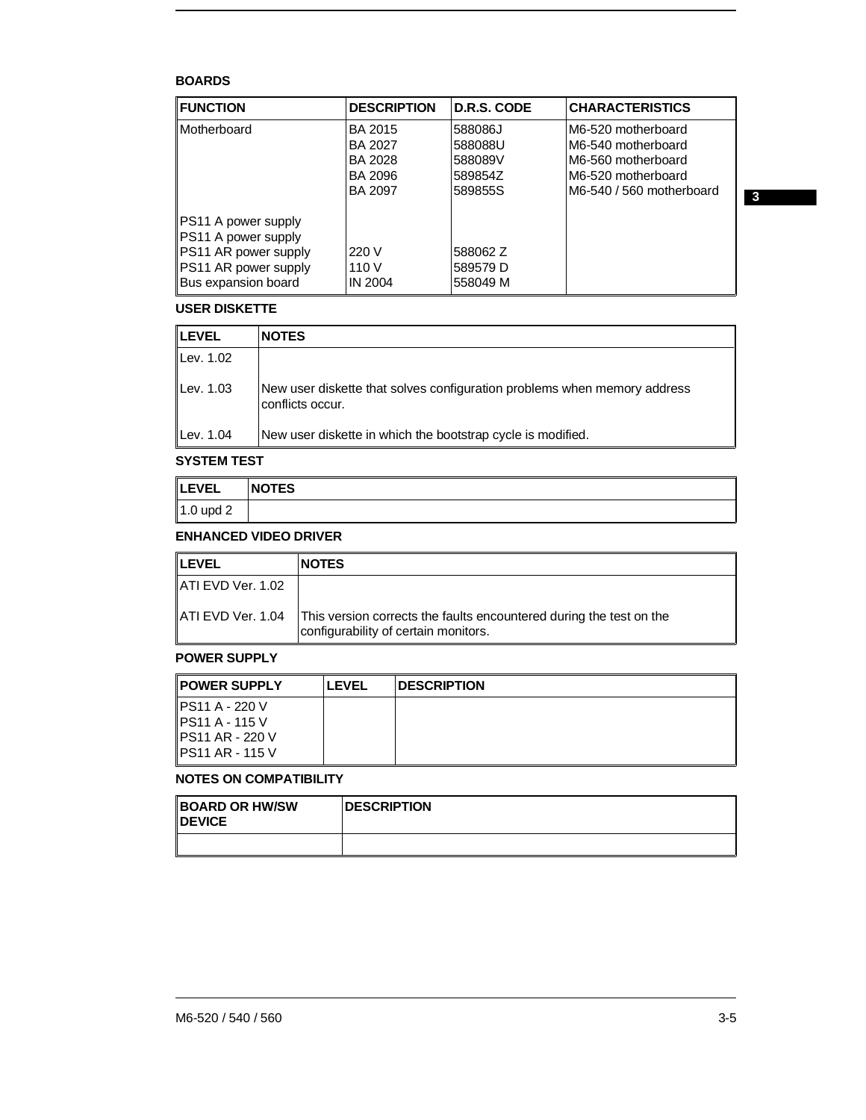### **BOARDS**

| <b>FUNCTION</b>                                                    | <b>DESCRIPTION</b>                              | D.R.S. CODE                              | <b>CHARACTERISTICS</b>                                                               |
|--------------------------------------------------------------------|-------------------------------------------------|------------------------------------------|--------------------------------------------------------------------------------------|
| Motherboard                                                        | BA 2015<br><b>BA 2027</b><br>BA 2028<br>BA 2096 | 588086J<br>588088U<br>588089V<br>589854Z | M6-520 motherboard<br>M6-540 motherboard<br>M6-560 motherboard<br>M6-520 motherboard |
|                                                                    | BA 2097                                         | 589855S                                  | M6-540 / 560 motherboard                                                             |
| PS11 A power supply<br>PS11 A power supply<br>PS11 AR power supply | 220 V                                           | 588062 Z                                 |                                                                                      |
| PS11 AR power supply<br>Bus expansion board                        | 110V<br><b>IN 2004</b>                          | 589579 D<br>558049 M                     |                                                                                      |

## **USER DISKETTE**

| <b>ILEVEL</b> | <b>NOTES</b>                                                                                 |
|---------------|----------------------------------------------------------------------------------------------|
| Lev. 1.02     |                                                                                              |
| Lev. 1.03     | New user diskette that solves configuration problems when memory address<br>conflicts occur. |
| Lev. 1.04     | New user diskette in which the bootstrap cycle is modified.                                  |

#### **SYSTEM TEST**

| <b>LEVEL</b>      | <b>NOTES</b> |
|-------------------|--------------|
| $\vert$ 1.0 upd 2 |              |

## **ENHANCED VIDEO DRIVER**

| ∥LEVEL             | <b>NOTES</b>                                                                                                |
|--------------------|-------------------------------------------------------------------------------------------------------------|
| LATI EVD Ver. 1.02 |                                                                                                             |
| ∥ATI EVD Ver. 1.04 | This version corrects the faults encountered during the test on the<br>configurability of certain monitors. |

#### **POWER SUPPLY**

| <b>POWER SUPPLY</b>     | <b>LEVEL</b> | <b>DESCRIPTION</b> |
|-------------------------|--------------|--------------------|
| <b>IPS11 A - 220 V</b>  |              |                    |
| <b>IPS11 A - 115 V</b>  |              |                    |
| <b>IPS11 AR - 220 V</b> |              |                    |
| <b>IPS11 AR - 115 V</b> |              |                    |

# **NOTES ON COMPATIBILITY**

| <b>BOARD OR HW/SW</b><br><b>IDEVICE</b> | <b>DESCRIPTION</b> |
|-----------------------------------------|--------------------|
|                                         |                    |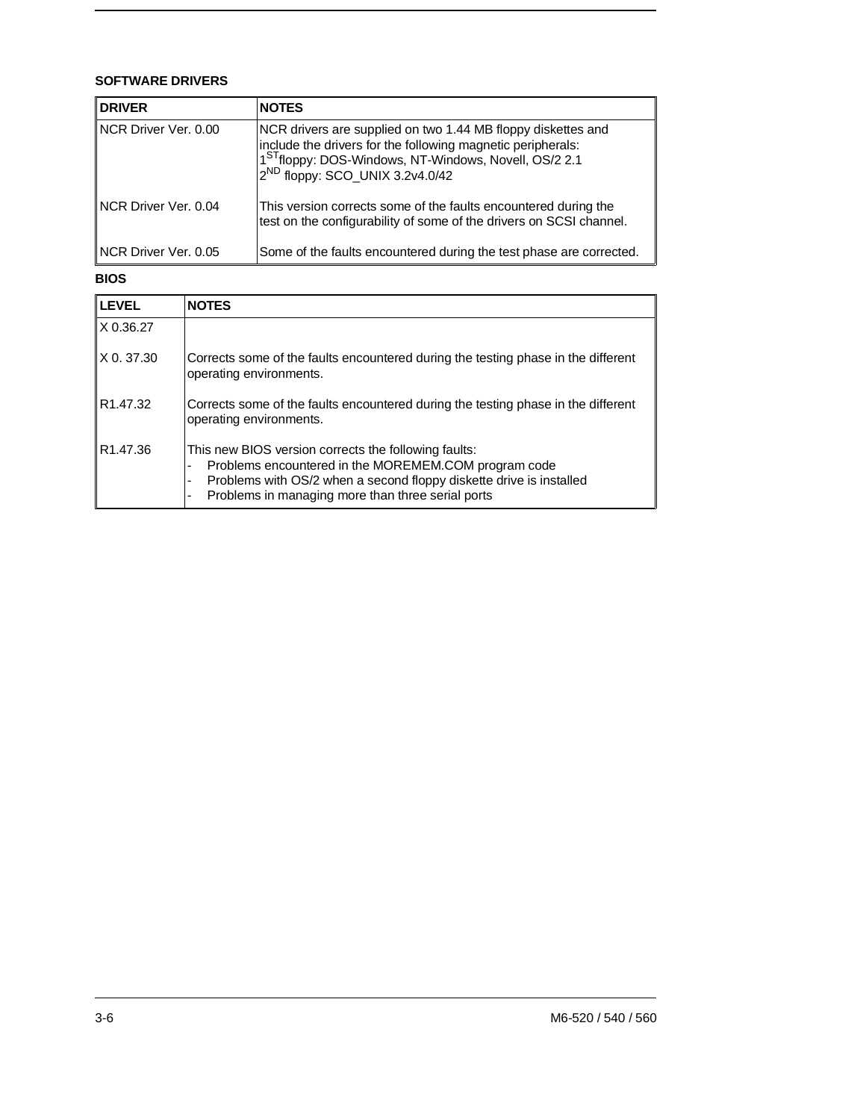## **SOFTWARE DRIVERS**

| <b>DRIVER</b>        | <b>NOTES</b>                                                                                                                                                                                                                                    |
|----------------------|-------------------------------------------------------------------------------------------------------------------------------------------------------------------------------------------------------------------------------------------------|
| NCR Driver Ver. 0.00 | NCR drivers are supplied on two 1.44 MB floppy diskettes and<br>include the drivers for the following magnetic peripherals:<br>1 <sup>ST</sup> floppy: DOS-Windows, NT-Windows, Novell, OS/2 2.1<br>2 <sup>ND</sup> floppy: SCO_UNIX 3.2v4.0/42 |
| NCR Driver Ver. 0.04 | This version corrects some of the faults encountered during the<br>test on the configurability of some of the drivers on SCSI channel.                                                                                                          |
| NCR Driver Ver, 0.05 | Some of the faults encountered during the test phase are corrected.                                                                                                                                                                             |

#### **BIOS**

| <b>LEVEL</b>         | <b>NOTES</b>                                                                                                                                                                                                                             |
|----------------------|------------------------------------------------------------------------------------------------------------------------------------------------------------------------------------------------------------------------------------------|
| X 0.36.27            |                                                                                                                                                                                                                                          |
| $X$ 0.37.30          | Corrects some of the faults encountered during the testing phase in the different<br>operating environments.                                                                                                                             |
| R <sub>1.47.32</sub> | Corrects some of the faults encountered during the testing phase in the different<br>operating environments.                                                                                                                             |
| R <sub>1.47.36</sub> | This new BIOS version corrects the following faults:<br>Problems encountered in the MOREMEM.COM program code<br>Problems with OS/2 when a second floppy diskette drive is installed<br>Problems in managing more than three serial ports |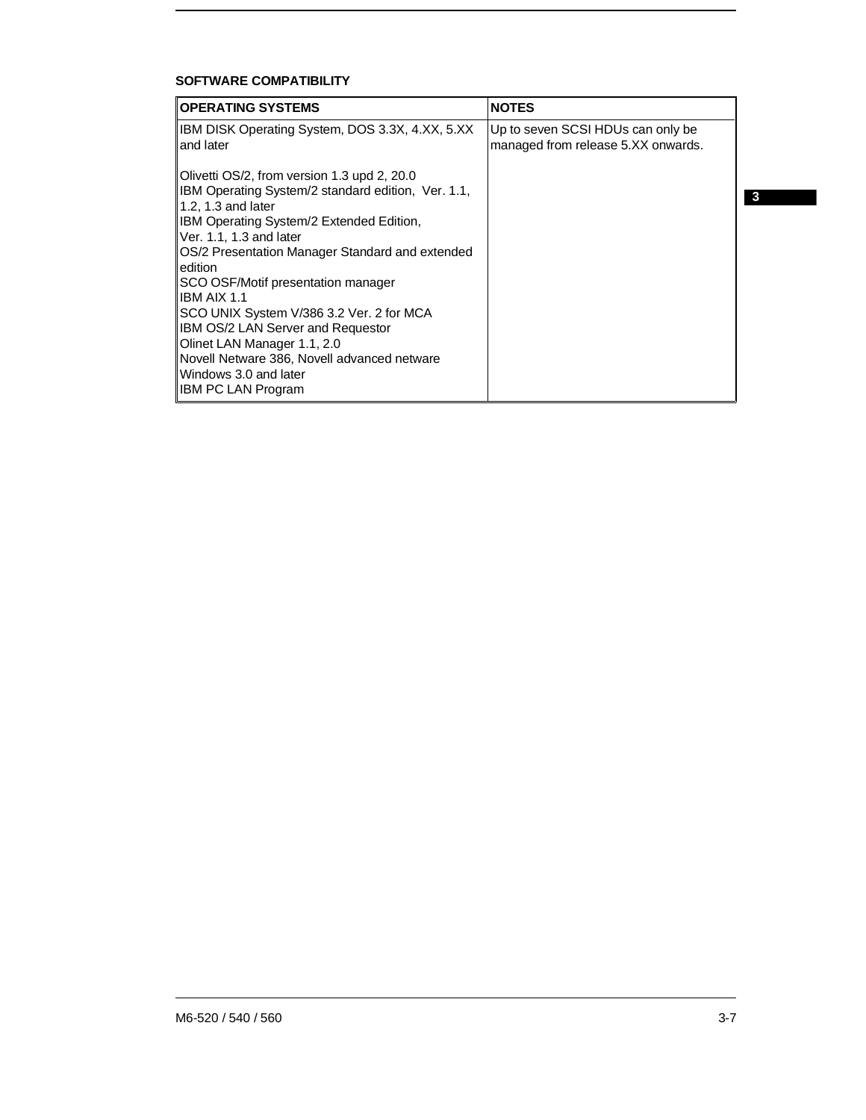# **SOFTWARE COMPATIBILITY**

| <b>OPERATING SYSTEMS</b>                                                                                                         | <b>NOTES</b>                                                            |   |
|----------------------------------------------------------------------------------------------------------------------------------|-------------------------------------------------------------------------|---|
| IBM DISK Operating System, DOS 3.3X, 4.XX, 5.XX<br>and later                                                                     | Up to seven SCSI HDUs can only be<br>managed from release 5.XX onwards. |   |
| Olivetti OS/2, from version 1.3 upd 2, 20.0<br>IBM Operating System/2 standard edition, Ver. 1.1,<br>1.2, 1.3 and later          |                                                                         | 3 |
| IBM Operating System/2 Extended Edition,<br>Ver. 1.1, 1.3 and later                                                              |                                                                         |   |
| OS/2 Presentation Manager Standard and extended<br>edition                                                                       |                                                                         |   |
| SCO OSF/Motif presentation manager<br><b>IBM AIX 1.1</b>                                                                         |                                                                         |   |
| SCO UNIX System V/386 3.2 Ver. 2 for MCA<br>IBM OS/2 LAN Server and Requestor                                                    |                                                                         |   |
| Olinet LAN Manager 1.1, 2.0<br>Novell Netware 386, Novell advanced netware<br>Windows 3.0 and later<br><b>IBM PC LAN Program</b> |                                                                         |   |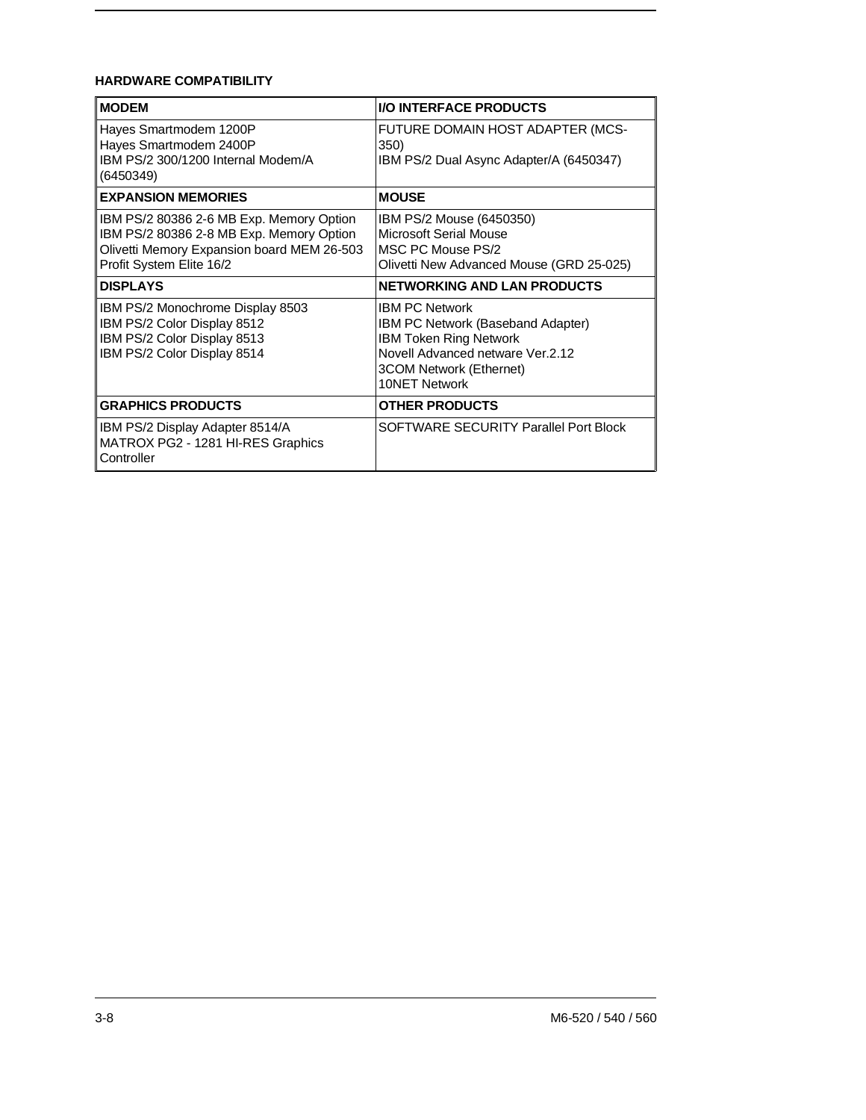# **HARDWARE COMPATIBILITY**

| <b>MODEM</b>                                                                                                                                                   | <b>I/O INTERFACE PRODUCTS</b>                                                                                                                                                      |
|----------------------------------------------------------------------------------------------------------------------------------------------------------------|------------------------------------------------------------------------------------------------------------------------------------------------------------------------------------|
| Hayes Smartmodem 1200P<br>Hayes Smartmodem 2400P<br>IBM PS/2 300/1200 Internal Modem/A<br>(6450349)                                                            | FUTURE DOMAIN HOST ADAPTER (MCS-<br>350)<br>IBM PS/2 Dual Async Adapter/A (6450347)                                                                                                |
| <b>EXPANSION MEMORIES</b>                                                                                                                                      | <b>MOUSE</b>                                                                                                                                                                       |
| IBM PS/2 80386 2-6 MB Exp. Memory Option<br>IBM PS/2 80386 2-8 MB Exp. Memory Option<br>Olivetti Memory Expansion board MEM 26-503<br>Profit System Elite 16/2 | IBM PS/2 Mouse (6450350)<br>Microsoft Serial Mouse<br>MSC PC Mouse PS/2<br>Olivetti New Advanced Mouse (GRD 25-025)                                                                |
| <b>DISPLAYS</b>                                                                                                                                                | <b>NETWORKING AND LAN PRODUCTS</b>                                                                                                                                                 |
| IBM PS/2 Monochrome Display 8503<br>IBM PS/2 Color Display 8512<br>IBM PS/2 Color Display 8513<br>IBM PS/2 Color Display 8514                                  | <b>IBM PC Network</b><br><b>IBM PC Network (Baseband Adapter)</b><br><b>IBM Token Ring Network</b><br>Novell Advanced netware Ver.2.12<br>3COM Network (Ethernet)<br>10NET Network |
| <b>GRAPHICS PRODUCTS</b>                                                                                                                                       | <b>OTHER PRODUCTS</b>                                                                                                                                                              |
| IBM PS/2 Display Adapter 8514/A<br>MATROX PG2 - 1281 HI-RES Graphics<br>Controller                                                                             | SOFTWARE SECURITY Parallel Port Block                                                                                                                                              |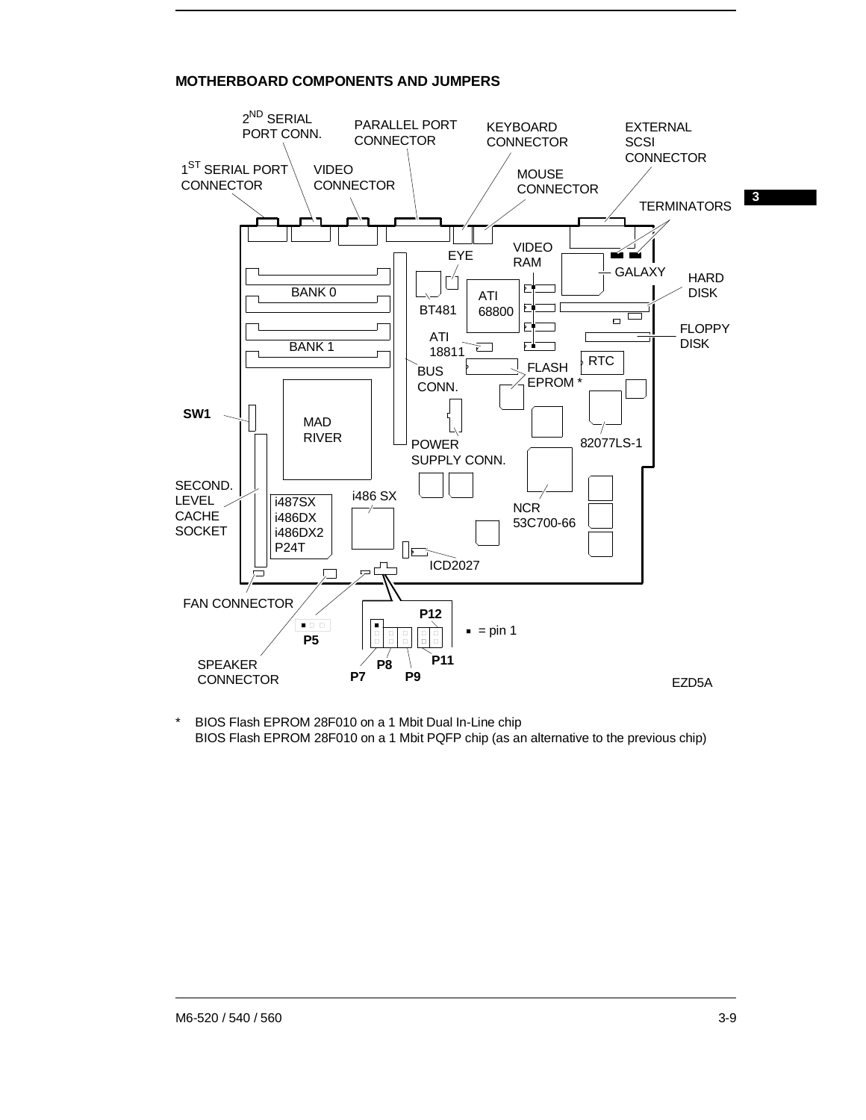# **MOTHERBOARD COMPONENTS AND JUMPERS**



\* BIOS Flash EPROM 28F010 on a 1 Mbit Dual In-Line chip BIOS Flash EPROM 28F010 on a 1 Mbit PQFP chip (as an alternative to the previous chip)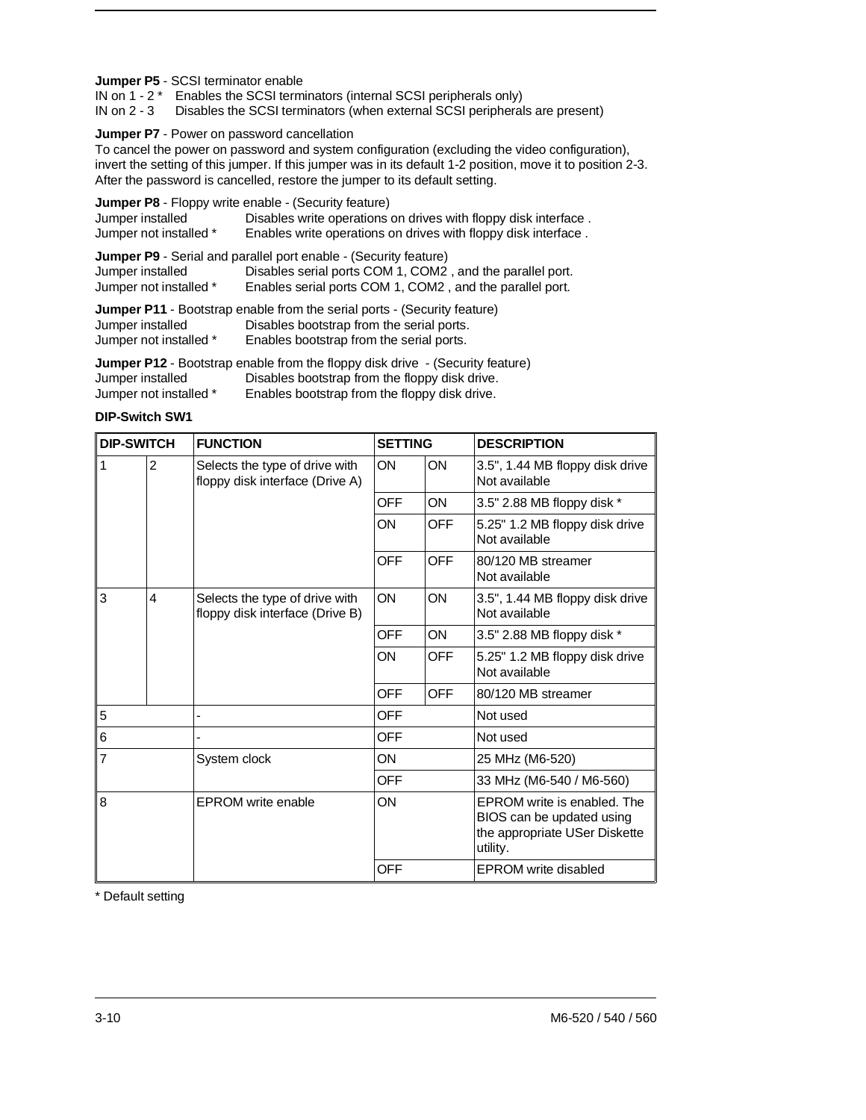#### **Jumper P5** - SCSI terminator enable

IN on 1 - 2 \* Enables the SCSI terminators (internal SCSI peripherals only)

IN on 2 - 3 Disables the SCSI terminators (when external SCSI peripherals are present)

#### **Jumper P7** - Power on password cancellation

To cancel the power on password and system configuration (excluding the video configuration), invert the setting of this jumper. If this jumper was in its default 1-2 position, move it to position 2-3. After the password is cancelled, restore the jumper to its default setting.

| Jumper installed<br>Jumper not installed * | <b>Jumper P8</b> - Floppy write enable - (Security feature)<br>Disables write operations on drives with floppy disk interface.<br>Enables write operations on drives with floppy disk interface. |
|--------------------------------------------|--------------------------------------------------------------------------------------------------------------------------------------------------------------------------------------------------|
| Jumper installed<br>Jumper not installed * | Jumper P9 - Serial and parallel port enable - (Security feature)<br>Disables serial ports COM 1, COM2, and the parallel port.<br>Enables serial ports COM 1, COM2, and the parallel port.        |
| Jumper installed                           | <b>Jumper P11</b> - Bootstrap enable from the serial ports - (Security feature)<br>Disables bootstrap from the serial ports.                                                                     |

Jumper not installed \* Enables bootstrap from the serial ports.

**Jumper P12** - Bootstrap enable from the floppy disk drive - (Security feature) Jumper installed Disables bootstrap from the floppy disk drive.<br>Jumper not installed \* Enables bootstrap from the floppy disk drive. Enables bootstrap from the floppy disk drive.

#### **DIP-Switch SW1**

| <b>DIP-SWITCH</b> |                                                                        | <b>FUNCTION</b>           | <b>SETTING</b> |                                                 | <b>DESCRIPTION</b>                                                                                    |
|-------------------|------------------------------------------------------------------------|---------------------------|----------------|-------------------------------------------------|-------------------------------------------------------------------------------------------------------|
| 1                 | 2<br>Selects the type of drive with<br>floppy disk interface (Drive A) |                           | ON             | <b>ON</b>                                       | 3.5", 1.44 MB floppy disk drive<br>Not available                                                      |
|                   |                                                                        |                           | OFF            | <b>ON</b>                                       | 3.5" 2.88 MB floppy disk *                                                                            |
|                   |                                                                        |                           | ON             | <b>OFF</b>                                      | 5.25" 1.2 MB floppy disk drive<br>Not available                                                       |
|                   |                                                                        |                           | <b>OFF</b>     | <b>OFF</b>                                      | 80/120 MB streamer<br>Not available                                                                   |
| 3                 | 4<br>Selects the type of drive with<br>floppy disk interface (Drive B) |                           | ON             | <b>ON</b>                                       | 3.5", 1.44 MB floppy disk drive<br>Not available                                                      |
|                   |                                                                        |                           | OFF            | <b>ON</b>                                       | 3.5" 2.88 MB floppy disk *                                                                            |
|                   |                                                                        | ON                        | <b>OFF</b>     | 5.25" 1.2 MB floppy disk drive<br>Not available |                                                                                                       |
|                   |                                                                        |                           | <b>OFF</b>     | <b>OFF</b>                                      | 80/120 MB streamer                                                                                    |
| 5                 |                                                                        |                           | OFF            |                                                 | Not used                                                                                              |
| 6                 |                                                                        |                           | OFF            |                                                 | Not used                                                                                              |
| $\overline{7}$    |                                                                        | System clock              | <b>ON</b>      |                                                 | 25 MHz (M6-520)                                                                                       |
|                   |                                                                        |                           | <b>OFF</b>     |                                                 | 33 MHz (M6-540 / M6-560)                                                                              |
| 8                 |                                                                        | <b>EPROM</b> write enable | ON             |                                                 | EPROM write is enabled. The<br>BIOS can be updated using<br>the appropriate USer Diskette<br>utility. |
|                   |                                                                        |                           | <b>OFF</b>     |                                                 | <b>EPROM</b> write disabled                                                                           |

\* Default setting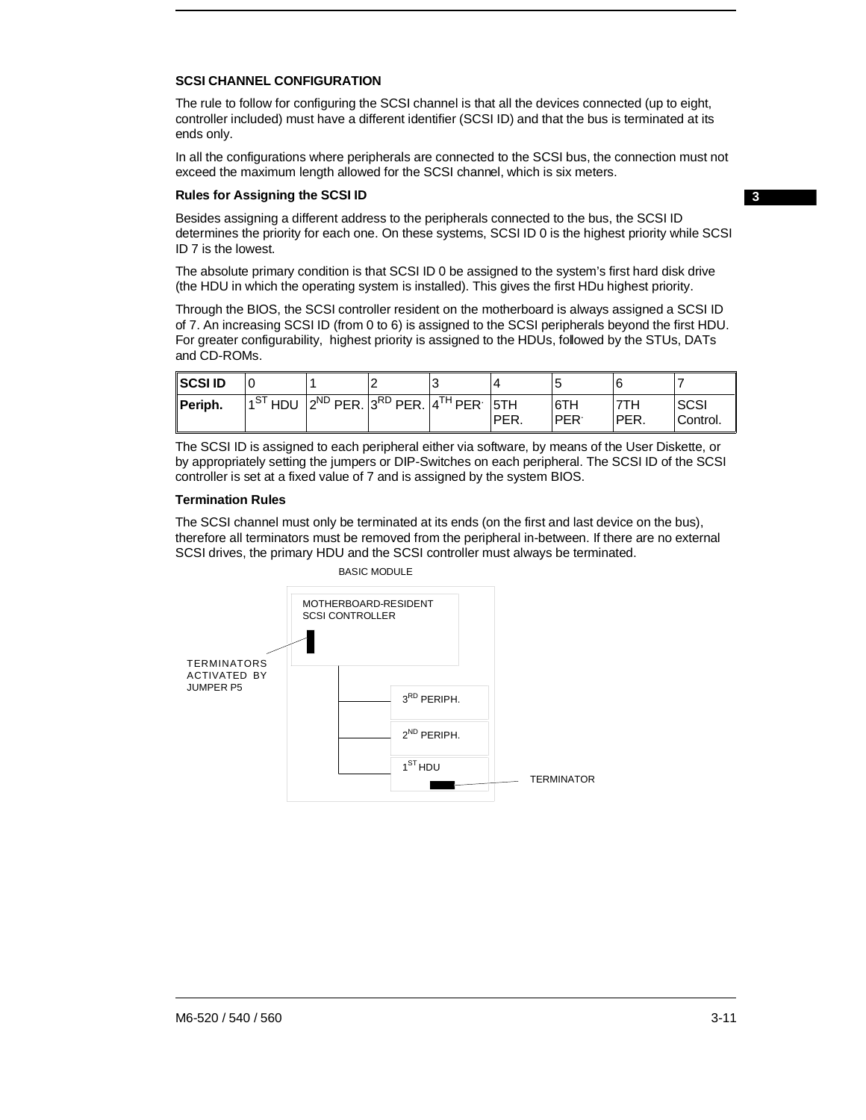#### **SCSI CHANNEL CONFIGURATION**

The rule to follow for configuring the SCSI channel is that all the devices connected (up to eight, controller included) must have a different identifier (SCSI ID) and that the bus is terminated at its ends only.

In all the configurations where peripherals are connected to the SCSI bus, the connection must not exceed the maximum length allowed for the SCSI channel, which is six meters.

#### **Rules for Assigning the SCSI ID**

**3**

Besides assigning a different address to the peripherals connected to the bus, the SCSI ID determines the priority for each one. On these systems, SCSI ID 0 is the highest priority while SCSI ID 7 is the lowest.

The absolute primary condition is that SCSI ID 0 be assigned to the system's first hard disk drive (the HDU in which the operating system is installed). This gives the first HDu highest priority.

Through the BIOS, the SCSI controller resident on the motherboard is always assigned a SCSI ID of 7. An increasing SCSI ID (from 0 to 6) is assigned to the SCSI peripherals beyond the first HDU. For greater configurability, highest priority is assigned to the HDUs, followed by the STUs, DATs and CD-ROMs.

| <b>SCSIID</b> |                                                      |  |      |                   |              |                         |
|---------------|------------------------------------------------------|--|------|-------------------|--------------|-------------------------|
| Periph.       | $1ST$ HDU $ 2ND$ PER. $ 3RD$ PER. $ 4TH$ PER. $ 5TH$ |  | PER. | 6TH<br><b>PER</b> | 7TH<br>'PER. | <b>SCSI</b><br>Control. |

The SCSI ID is assigned to each peripheral either via software, by means of the User Diskette, or by appropriately setting the jumpers or DIP-Switches on each peripheral. The SCSI ID of the SCSI controller is set at a fixed value of 7 and is assigned by the system BIOS.

#### **Termination Rules**

The SCSI channel must only be terminated at its ends (on the first and last device on the bus), therefore all terminators must be removed from the peripheral in-between. If there are no external SCSI drives, the primary HDU and the SCSI controller must always be terminated.



BASIC MODULE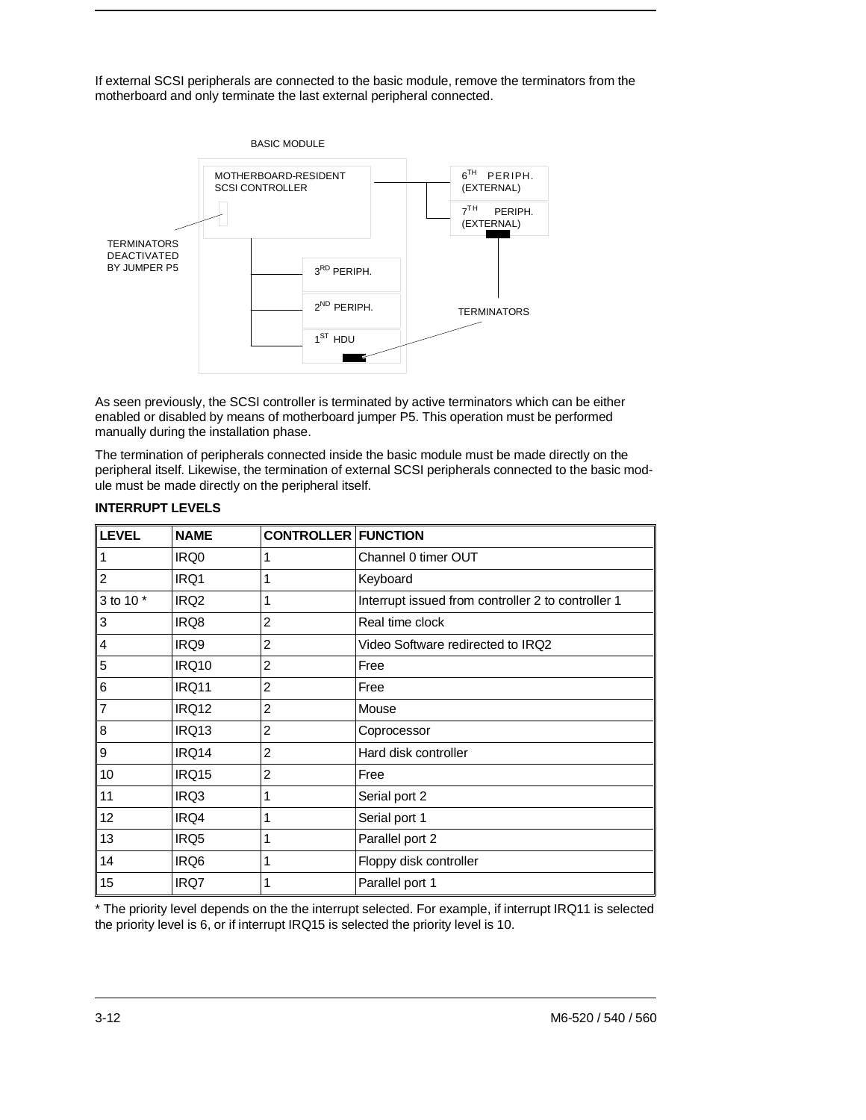If external SCSI peripherals are connected to the basic module, remove the terminators from the motherboard and only terminate the last external peripheral connected.



As seen previously, the SCSI controller is terminated by active terminators which can be either enabled or disabled by means of motherboard jumper P5. This operation must be performed manually during the installation phase.

The termination of peripherals connected inside the basic module must be made directly on the peripheral itself. Likewise, the termination of external SCSI peripherals connected to the basic module must be made directly on the peripheral itself.

| <b>LEVEL</b> | <b>NAME</b>      | <b>CONTROLLER FUNCTION</b> |                                                    |
|--------------|------------------|----------------------------|----------------------------------------------------|
| 1            | IRQ0             | 1                          | Channel 0 timer OUT                                |
| 2            | IRQ1             | 1                          | Keyboard                                           |
| 3 to 10 *    | IRQ <sub>2</sub> | 1                          | Interrupt issued from controller 2 to controller 1 |
| 3            | IRQ8             | 2                          | Real time clock                                    |
| 4            | IRQ9             | $\overline{2}$             | Video Software redirected to IRQ2                  |
| 5            | <b>IRQ10</b>     | $\overline{2}$             | Free                                               |
| 6            | <b>IRQ11</b>     | $\overline{2}$             | Free                                               |
| 7            | <b>IRQ12</b>     | $\overline{2}$             | Mouse                                              |
| 8            | IRQ13            | 2                          | Coprocessor                                        |
| 9            | IRQ14            | 2                          | Hard disk controller                               |
| 10           | <b>IRQ15</b>     | $\overline{2}$             | Free                                               |
| 11           | IRQ3             | 1                          | Serial port 2                                      |
| 12           | IRQ4             | 1                          | Serial port 1                                      |
| 13           | IRQ5             | 1                          | Parallel port 2                                    |
| 14           | IRQ6             | 1                          | Floppy disk controller                             |
| 15           | IRQ7             | 1                          | Parallel port 1                                    |

### **INTERRUPT LEVELS**

\* The priority level depends on the the interrupt selected. For example, if interrupt IRQ11 is selected the priority level is 6, or if interrupt IRQ15 is selected the priority level is 10.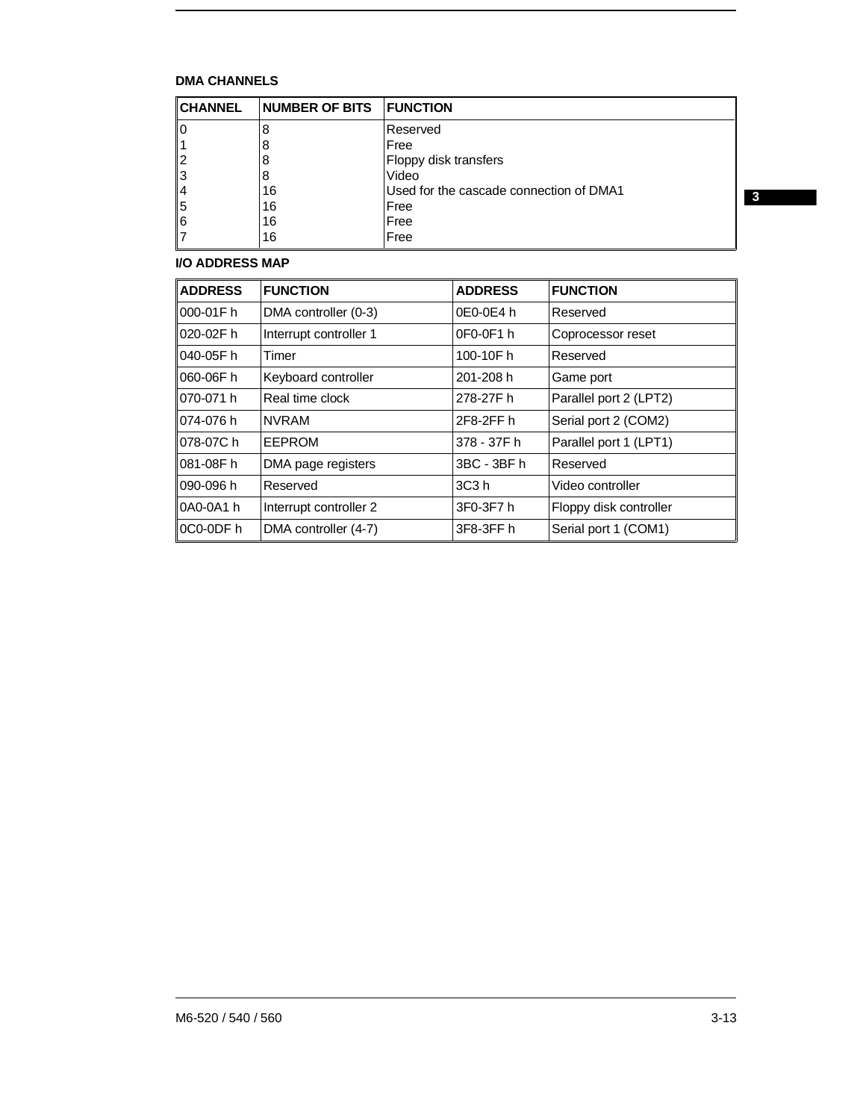# **DMA CHANNELS**

| <b>CHANNEL</b> | <b>NUMBER OF BITS</b> | <b>FUNCTION</b>                         |
|----------------|-----------------------|-----------------------------------------|
|                | 8                     | Reserved                                |
|                | 8                     | Free                                    |
| 12             | 8                     | Floppy disk transfers                   |
| 3              | 8                     | Video                                   |
| 4              | 16                    | Used for the cascade connection of DMA1 |
| 5              | 16                    | Free                                    |
| 6              | 16                    | Free                                    |
|                | 16                    | Free                                    |

# **I/O ADDRESS MAP**

| <b>ADDRESS</b> | <b>FUNCTION</b>        | <b>ADDRESS</b>    | <b>FUNCTION</b>        |
|----------------|------------------------|-------------------|------------------------|
| 000-01Fh       | DMA controller (0-3)   | 0E0-0E4 h         | Reserved               |
| $020-02F$ h    | Interrupt controller 1 | 0F0-0F1 h         | Coprocessor reset      |
| 040-05Fh       | Timer                  | 100-10Fh          | Reserved               |
| 060-06Fh       | Keyboard controller    | 201-208 h         | Game port              |
| 070-071 h      | Real time clock        | 278-27Fh          | Parallel port 2 (LPT2) |
| 074-076 h      | <b>NVRAM</b>           | 2F8-2FF h         | Serial port 2 (COM2)   |
| 078-07C h      | EEPROM                 | 378 - 37F h       | Parallel port 1 (LPT1) |
| 081-08Fh       | DMA page registers     | 3BC - 3BF h       | Reserved               |
| 090-096 h      | Reserved               | 3C <sub>3</sub> h | Video controller       |
| 0A0-0A1 h      | Interrupt controller 2 | 3F0-3F7 h         | Floppy disk controller |
| ∣0C0-0DF h     | DMA controller (4-7)   | 3F8-3FF h         | Serial port 1 (COM1)   |

**3**